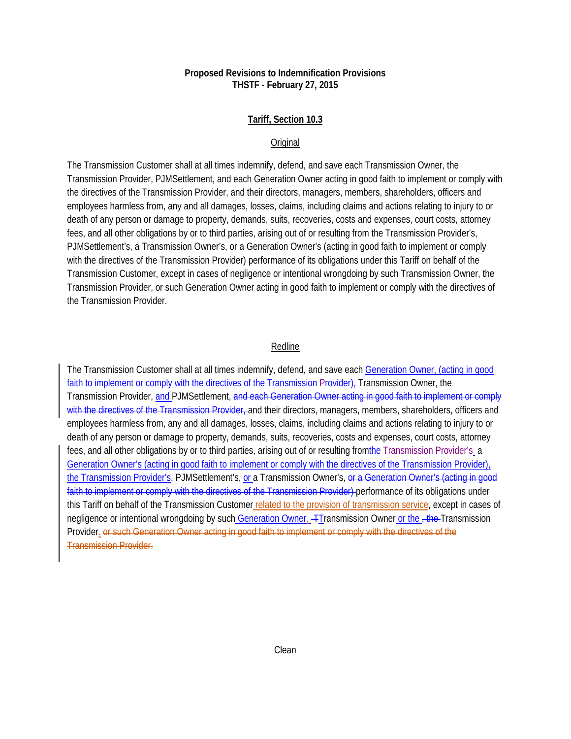## **Proposed Revisions to Indemnification Provisions THSTF - February 27, 2015**

## **Tariff, Section 10.3**

#### **Original**

The Transmission Customer shall at all times indemnify, defend, and save each Transmission Owner, the Transmission Provider, PJMSettlement, and each Generation Owner acting in good faith to implement or comply with the directives of the Transmission Provider, and their directors, managers, members, shareholders, officers and employees harmless from, any and all damages, losses, claims, including claims and actions relating to injury to or death of any person or damage to property, demands, suits, recoveries, costs and expenses, court costs, attorney fees, and all other obligations by or to third parties, arising out of or resulting from the Transmission Provider's, PJMSettlement's, a Transmission Owner's, or a Generation Owner's (acting in good faith to implement or comply with the directives of the Transmission Provider) performance of its obligations under this Tariff on behalf of the Transmission Customer, except in cases of negligence or intentional wrongdoing by such Transmission Owner, the Transmission Provider, or such Generation Owner acting in good faith to implement or comply with the directives of the Transmission Provider.

#### Redline

The Transmission Customer shall at all times indemnify, defend, and save each Generation Owner, (acting in good faith to implement or comply with the directives of the Transmission Provider), Transmission Owner, the Transmission Provider, and PJMSettlement, and each Generation Owner acting in good faith to implement or comply with the directives of the Transmission Provider, and their directors, managers, members, shareholders, officers and employees harmless from, any and all damages, losses, claims, including claims and actions relating to injury to or death of any person or damage to property, demands, suits, recoveries, costs and expenses, court costs, attorney fees, and all other obligations by or to third parties, arising out of or resulting from the Transmission Provider's a Generation Owner's (acting in good faith to implement or comply with the directives of the Transmission Provider), the Transmission Provider's, PJMSettlement's, or a Transmission Owner's, or a Generation Owner's (acting in good faith to implement or comply with the directives of the Transmission Provider) performance of its obligations under this Tariff on behalf of the Transmission Customer related to the provision of transmission service, except in cases of negligence or intentional wrongdoing by such Generation Owner, Transmission Owner or the -the-Transmission Provider. or such Generation Owner acting in good faith to implement or comply with the directives of the Transmission Provider.

#### Clean